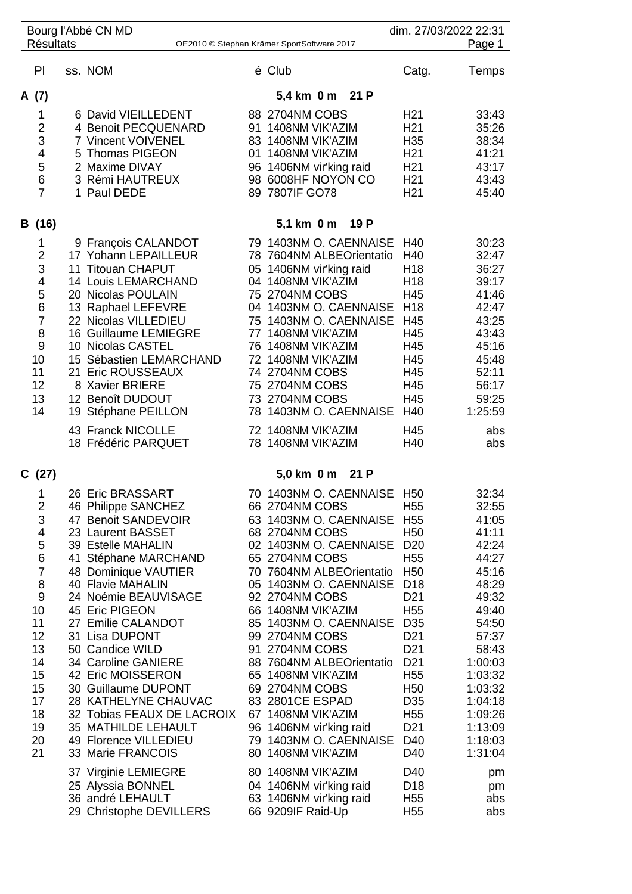| Bourg l'Abbé CN MD<br><b>Résultats</b><br>OE2010 © Stephan Krämer SportSoftware 2017 |                                                                                                                                |  | dim. 27/03/2022 22:31<br>Page 1                                                                                                                                                                                                                                                                                                                                                                                                                                                                           |                            |                                                                                                                                                                                                                                                                                                                                                                                                                                                                                             |                                                                                                                                                                                                                                                                                                                                                                                            |                                                                                                                                                                                                                 |
|--------------------------------------------------------------------------------------|--------------------------------------------------------------------------------------------------------------------------------|--|-----------------------------------------------------------------------------------------------------------------------------------------------------------------------------------------------------------------------------------------------------------------------------------------------------------------------------------------------------------------------------------------------------------------------------------------------------------------------------------------------------------|----------------------------|---------------------------------------------------------------------------------------------------------------------------------------------------------------------------------------------------------------------------------------------------------------------------------------------------------------------------------------------------------------------------------------------------------------------------------------------------------------------------------------------|--------------------------------------------------------------------------------------------------------------------------------------------------------------------------------------------------------------------------------------------------------------------------------------------------------------------------------------------------------------------------------------------|-----------------------------------------------------------------------------------------------------------------------------------------------------------------------------------------------------------------|
|                                                                                      | PI                                                                                                                             |  | ss. NOM                                                                                                                                                                                                                                                                                                                                                                                                                                                                                                   |                            | é Club                                                                                                                                                                                                                                                                                                                                                                                                                                                                                      | Catg.                                                                                                                                                                                                                                                                                                                                                                                      | Temps                                                                                                                                                                                                           |
|                                                                                      | A (7)                                                                                                                          |  |                                                                                                                                                                                                                                                                                                                                                                                                                                                                                                           |                            | 5,4 km 0 m 21 P                                                                                                                                                                                                                                                                                                                                                                                                                                                                             |                                                                                                                                                                                                                                                                                                                                                                                            |                                                                                                                                                                                                                 |
|                                                                                      | 1<br>2<br>3<br>4<br>5<br>6<br>$\overline{7}$                                                                                   |  | 6 David VIEILLEDENT<br>4 Benoit PECQUENARD<br>7 Vincent VOIVENEL<br>5 Thomas PIGEON<br>2 Maxime DIVAY<br>3 Rémi HAUTREUX<br>1 Paul DEDE                                                                                                                                                                                                                                                                                                                                                                   | 91<br>01<br>96             | 88 2704NM COBS<br>1408NM VIK'AZIM<br>83 1408NM VIK'AZIM<br>1408NM VIK'AZIM<br>1406NM vir'king raid<br>98 6008HF NOYON CO<br>89 7807IF GO78                                                                                                                                                                                                                                                                                                                                                  | H <sub>21</sub><br>H <sub>21</sub><br>H <sub>35</sub><br>H <sub>21</sub><br>H <sub>21</sub><br>H <sub>21</sub><br>H <sub>21</sub>                                                                                                                                                                                                                                                          | 33:43<br>35:26<br>38:34<br>41:21<br>43:17<br>43:43<br>45:40                                                                                                                                                     |
|                                                                                      | B (16)                                                                                                                         |  |                                                                                                                                                                                                                                                                                                                                                                                                                                                                                                           |                            | 5,1 km 0 m<br>19 P                                                                                                                                                                                                                                                                                                                                                                                                                                                                          |                                                                                                                                                                                                                                                                                                                                                                                            |                                                                                                                                                                                                                 |
|                                                                                      | 1<br>$\overline{2}$<br>3<br>4<br>5<br>6<br>$\overline{7}$<br>8<br>9<br>10<br>11<br>12<br>13<br>14                              |  | 9 François CALANDOT<br>17 Yohann LEPAILLEUR<br>11 Titouan CHAPUT<br>14 Louis LEMARCHAND<br>20 Nicolas POULAIN<br>13 Raphael LEFEVRE<br>22 Nicolas VILLEDIEU<br>16 Guillaume LEMIEGRE<br>10 Nicolas CASTEL<br>15 Sébastien LEMARCHAND<br>21 Eric ROUSSEAUX<br>8 Xavier BRIERE<br>12 Benoît DUDOUT<br>19 Stéphane PEILLON<br>43 Franck NICOLLE<br>18 Frédéric PARQUET                                                                                                                                       | 05<br>77<br>76             | 79 1403NM O. CAENNAISE<br>78 7604NM ALBEOrientatio<br>1406NM vir'king raid<br>04 1408NM VIK'AZIM<br>75 2704NM COBS<br>04 1403NM O. CAENNAISE<br>75 1403NM O. CAENNAISE<br>1408NM VIK'AZIM<br>1408NM VIK'AZIM<br>72 1408NM VIK'AZIM<br>74 2704NM COBS<br>75 2704NM COBS<br>73 2704NM COBS<br>78 1403NM O. CAENNAISE<br>72 1408NM VIK'AZIM<br>78 1408NM VIK'AZIM                                                                                                                              | H40<br>H40<br>H <sub>18</sub><br>H <sub>18</sub><br>H45<br>H <sub>18</sub><br>H45<br>H45<br>H45<br>H45<br>H45<br>H45<br>H45<br>H40<br>H45<br>H40                                                                                                                                                                                                                                           | 30:23<br>32:47<br>36:27<br>39:17<br>41:46<br>42:47<br>43:25<br>43:43<br>45:16<br>45:48<br>52:11<br>56:17<br>59:25<br>1:25:59<br>abs<br>abs                                                                      |
|                                                                                      | C(27)                                                                                                                          |  |                                                                                                                                                                                                                                                                                                                                                                                                                                                                                                           |                            | 5,0 km 0 m<br>21 P                                                                                                                                                                                                                                                                                                                                                                                                                                                                          |                                                                                                                                                                                                                                                                                                                                                                                            |                                                                                                                                                                                                                 |
|                                                                                      | 1<br>2<br>3<br>4<br>5<br>6<br>$\overline{7}$<br>8<br>9<br>10<br>11<br>12<br>13<br>14<br>15<br>15<br>17<br>18<br>19<br>20<br>21 |  | 26 Eric BRASSART<br>46 Philippe SANCHEZ<br>47 Benoit SANDEVOIR<br>23 Laurent BASSET<br>39 Estelle MAHALIN<br>41 Stéphane MARCHAND<br>48 Dominique VAUTIER<br>40 Flavie MAHALIN<br>24 Noémie BEAUVISAGE<br>45 Eric PIGEON<br>27 Emilie CALANDOT<br>31 Lisa DUPONT<br>50 Candice WILD<br>34 Caroline GANIERE<br>42 Eric MOISSERON<br>30 Guillaume DUPONT<br>28 KATHELYNE CHAUVAC<br>32 Tobias FEAUX DE LACROIX<br>35 MATHILDE LEHAULT<br>49 Florence VILLEDIEU<br>33 Marie FRANCOIS<br>37 Virginie LEMIEGRE | 66<br>85<br>91<br>65<br>80 | 70 1403NM O. CAENNAISE<br>66 2704NM COBS<br>63 1403NM O. CAENNAISE<br>68 2704NM COBS<br>02 1403NM O. CAENNAISE<br>65 2704NM COBS<br>70 7604NM ALBEOrientatio<br>05 1403NM O. CAENNAISE<br>92 2704NM COBS<br>1408NM VIK'AZIM<br>1403NM O. CAENNAISE<br>99 2704NM COBS<br>2704NM COBS<br>88 7604NM ALBEOrientatio<br>1408NM VIK'AZIM<br>69 2704NM COBS<br>83 2801CE ESPAD<br>67 1408NM VIK'AZIM<br>96 1406NM vir'king raid<br>79 1403NM O. CAENNAISE<br>1408NM VIK'AZIM<br>80 1408NM VIK'AZIM | H <sub>50</sub><br>H <sub>55</sub><br>H <sub>55</sub><br>H <sub>50</sub><br>D <sub>20</sub><br>H <sub>55</sub><br>H <sub>50</sub><br>D <sub>18</sub><br>D <sub>21</sub><br>H <sub>55</sub><br>D <sub>35</sub><br>D <sub>21</sub><br>D <sub>21</sub><br>D <sub>21</sub><br>H <sub>55</sub><br>H <sub>50</sub><br>D <sub>35</sub><br>H <sub>55</sub><br>D <sub>21</sub><br>D40<br>D40<br>D40 | 32:34<br>32:55<br>41:05<br>41:11<br>42:24<br>44:27<br>45:16<br>48:29<br>49:32<br>49:40<br>54:50<br>57:37<br>58:43<br>1:00:03<br>1:03:32<br>1:03:32<br>1:04:18<br>1:09:26<br>1:13:09<br>1:18:03<br>1:31:04<br>pm |
|                                                                                      |                                                                                                                                |  | 25 Alyssia BONNEL<br>36 andré LEHAULT<br>29 Christophe DEVILLERS                                                                                                                                                                                                                                                                                                                                                                                                                                          |                            | 04 1406NM vir'king raid<br>63 1406NM vir'king raid<br>66 9209IF Raid-Up                                                                                                                                                                                                                                                                                                                                                                                                                     | D <sub>18</sub><br>H <sub>55</sub><br>H <sub>55</sub>                                                                                                                                                                                                                                                                                                                                      | pm<br>abs<br>abs                                                                                                                                                                                                |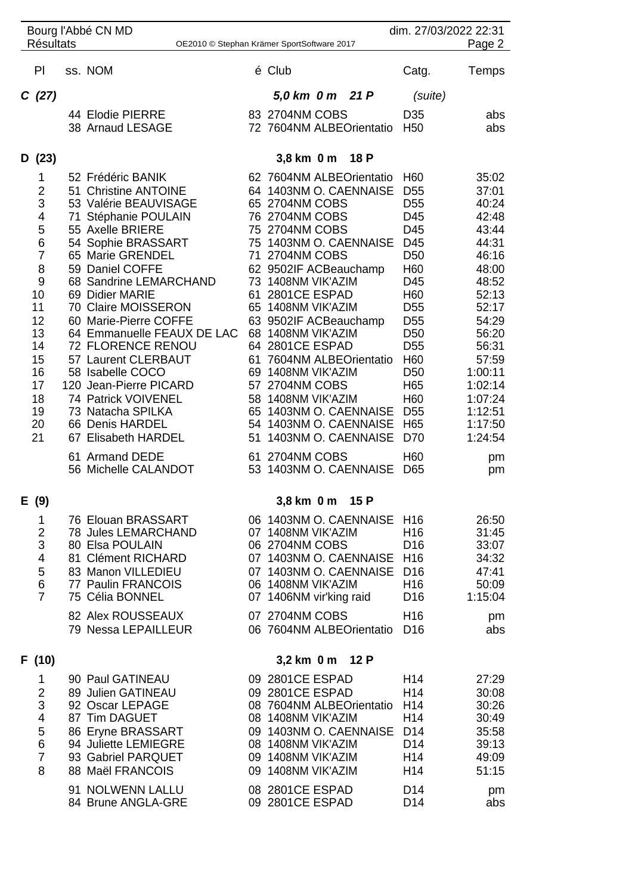| Bourg l'Abbé CN MD                                                       |                 |                                               |    |                         |  |                            |                                    | dim. 27/03/2022 22:31 |  |  |
|--------------------------------------------------------------------------|-----------------|-----------------------------------------------|----|-------------------------|--|----------------------------|------------------------------------|-----------------------|--|--|
| <b>Résultats</b><br>Page 2<br>OE2010 © Stephan Krämer SportSoftware 2017 |                 |                                               |    |                         |  |                            |                                    |                       |  |  |
| PI                                                                       |                 | ss. NOM                                       |    | é Club                  |  |                            | Catg.                              | Temps                 |  |  |
| C(27)                                                                    |                 |                                               |    | 5,0 km 0 m 21 P         |  |                            | (suite)                            |                       |  |  |
|                                                                          |                 | 44 Elodie PIERRE                              |    | 83 2704NM COBS          |  |                            | D <sub>35</sub>                    | abs                   |  |  |
|                                                                          |                 | 38 Arnaud LESAGE                              |    |                         |  | 72 7604NM ALBEOrientatio   | H <sub>50</sub>                    | abs                   |  |  |
| D(23)                                                                    |                 |                                               |    | 3,8 km 0 m              |  | 18 P                       |                                    |                       |  |  |
| 1                                                                        |                 | 52 Frédéric BANIK                             |    |                         |  | 62 7604NM ALBEOrientatio   | H <sub>60</sub>                    | 35:02                 |  |  |
| 2                                                                        |                 | 51 Christine ANTOINE                          |    |                         |  | 64 1403NM O. CAENNAISE     | D <sub>55</sub>                    | 37:01                 |  |  |
| 3                                                                        |                 | 53 Valérie BEAUVISAGE                         |    | 65 2704NM COBS          |  |                            | D <sub>55</sub>                    | 40:24                 |  |  |
| 4                                                                        |                 | 71 Stéphanie POULAIN                          |    | 76 2704NM COBS          |  |                            | D45                                | 42:48                 |  |  |
| 5                                                                        |                 | 55 Axelle BRIERE                              |    | 75 2704NM COBS          |  |                            | D45                                | 43:44                 |  |  |
| 6<br>$\overline{7}$                                                      |                 | 54 Sophie BRASSART<br>65 Marie GRENDEL        |    | 71 2704NM COBS          |  | 75 1403NM O. CAENNAISE     | D45<br>D <sub>50</sub>             | 44:31<br>46:16        |  |  |
| 8                                                                        |                 | 59 Daniel COFFE                               |    | 62 9502IF ACBeauchamp   |  |                            | H <sub>60</sub>                    | 48:00                 |  |  |
| $\boldsymbol{9}$                                                         |                 | 68 Sandrine LEMARCHAND                        |    | 73 1408NM VIK'AZIM      |  |                            | D45                                | 48:52                 |  |  |
| 10                                                                       |                 | 69 Didier MARIE                               |    | 61 2801 CE ESPAD        |  |                            | H <sub>60</sub>                    | 52:13                 |  |  |
| 11                                                                       |                 | 70 Claire MOISSERON                           |    | 65 1408NM VIK'AZIM      |  |                            | D <sub>55</sub>                    | 52:17                 |  |  |
| 12                                                                       |                 | 60 Marie-Pierre COFFE                         |    | 63 9502IF ACBeauchamp   |  |                            | D <sub>55</sub>                    | 54:29                 |  |  |
| 13                                                                       |                 | 64 Emmanuelle FEAUX DE LAC                    |    | 68 1408NM VIK'AZIM      |  |                            | D <sub>50</sub>                    | 56:20                 |  |  |
| 14                                                                       |                 | 72 FLORENCE RENOU                             |    | 64 2801CE ESPAD         |  |                            | D <sub>55</sub>                    | 56:31                 |  |  |
| 15                                                                       |                 | 57 Laurent CLERBAUT                           |    |                         |  | 61 7604NM ALBEOrientatio   | H <sub>60</sub>                    | 57:59                 |  |  |
| 16                                                                       |                 | 58 Isabelle COCO                              |    | 69 1408NM VIK'AZIM      |  |                            | D <sub>50</sub>                    | 1:00:11               |  |  |
| 17                                                                       |                 | 120 Jean-Pierre PICARD<br>74 Patrick VOIVENEL |    | 57 2704NM COBS          |  |                            | H65                                | 1:02:14               |  |  |
| 18<br>19                                                                 |                 | 73 Natacha SPILKA                             |    | 58 1408NM VIK'AZIM      |  | 65 1403NM O. CAENNAISE     | H <sub>60</sub><br>D <sub>55</sub> | 1:07:24<br>1:12:51    |  |  |
| 20                                                                       |                 | 66 Denis HARDEL                               |    |                         |  | 54 1403NM O. CAENNAISE     | H65                                | 1:17:50               |  |  |
| 21                                                                       |                 | 67 Elisabeth HARDEL                           | 51 |                         |  | 1403NM O. CAENNAISE        | D70                                | 1:24:54               |  |  |
|                                                                          |                 | 61 Armand DEDE                                |    | 61 2704NM COBS          |  |                            | H <sub>60</sub>                    |                       |  |  |
|                                                                          |                 | 56 Michelle CALANDOT                          |    |                         |  | 53 1403NM O. CAENNAISE     | D65                                | pm<br>pm              |  |  |
| E (9)                                                                    |                 |                                               |    | 3,8 km 0 m 15 P         |  |                            |                                    |                       |  |  |
| $\mathbf{1}$                                                             |                 | 76 Elouan BRASSART                            |    |                         |  | 06 1403NM O. CAENNAISE     | H <sub>16</sub>                    | 26:50                 |  |  |
| $\overline{c}$                                                           |                 | <b>78 Jules LEMARCHAND</b>                    |    | 07 1408NM VIK'AZIM      |  |                            | H16                                | 31:45                 |  |  |
| 3                                                                        |                 | 80 Elsa POULAIN                               |    | 06 2704NM COBS          |  |                            | D <sub>16</sub>                    | 33:07                 |  |  |
| $\overline{\mathbf{4}}$                                                  |                 | 81 Clément RICHARD                            |    |                         |  | 07 1403NM O. CAENNAISE H16 |                                    | 34:32                 |  |  |
| 5                                                                        |                 | 83 Manon VILLEDIEU                            |    |                         |  | 07 1403NM O. CAENNAISE     | D <sub>16</sub>                    | 47:41                 |  |  |
| $\,6$                                                                    |                 | 77 Paulin FRANCOIS                            |    | 06 1408NM VIK'AZIM      |  |                            | H <sub>16</sub>                    | 50:09                 |  |  |
| $\overline{7}$                                                           |                 | 75 Célia BONNEL                               |    | 07 1406NM vir'king raid |  |                            | D <sub>16</sub>                    | 1:15:04               |  |  |
|                                                                          |                 | 82 Alex ROUSSEAUX                             |    | 07 2704NM COBS          |  |                            | H <sub>16</sub>                    | pm                    |  |  |
|                                                                          |                 | 79 Nessa LEPAILLEUR                           |    |                         |  | 06 7604NM ALBEOrientatio   | D <sub>16</sub>                    | abs                   |  |  |
| F (10)                                                                   | 3,2 km 0 m 12 P |                                               |    |                         |  |                            |                                    |                       |  |  |
| 1                                                                        |                 | 90 Paul GATINEAU                              |    | 09 2801CE ESPAD         |  |                            | H <sub>14</sub>                    | 27:29                 |  |  |
| $\mathbf 2$                                                              |                 | 89 Julien GATINEAU                            |    | 09 2801CE ESPAD         |  |                            | H <sub>14</sub>                    | 30:08                 |  |  |
| 3                                                                        |                 | 92 Oscar LEPAGE                               |    |                         |  | 08 7604NM ALBEOrientatio   | H <sub>14</sub>                    | 30:26                 |  |  |
| $\overline{\mathbf{4}}$                                                  |                 | 87 Tim DAGUET                                 |    | 08 1408NM VIK'AZIM      |  |                            | H <sub>14</sub>                    | 30:49                 |  |  |
| 5                                                                        |                 | 86 Eryne BRASSART                             |    |                         |  | 09 1403NM O. CAENNAISE D14 |                                    | 35:58                 |  |  |
| 6                                                                        |                 | 94 Juliette LEMIEGRE                          |    | 08 1408NM VIK'AZIM      |  |                            | D <sub>14</sub>                    | 39:13                 |  |  |
| $\overline{7}$                                                           |                 | 93 Gabriel PARQUET                            |    | 09 1408NM VIK'AZIM      |  |                            | H <sub>14</sub>                    | 49:09                 |  |  |
| 8                                                                        |                 | 88 Maël FRANCOIS                              |    | 09 1408NM VIK'AZIM      |  |                            | H <sub>14</sub>                    | 51:15                 |  |  |
|                                                                          |                 | 91 NOLWENN LALLU                              |    | 08 2801CE ESPAD         |  |                            | D <sub>14</sub>                    | pm                    |  |  |
|                                                                          |                 | 84 Brune ANGLA-GRE                            |    | 09 2801CE ESPAD         |  |                            | D <sub>14</sub>                    | abs                   |  |  |